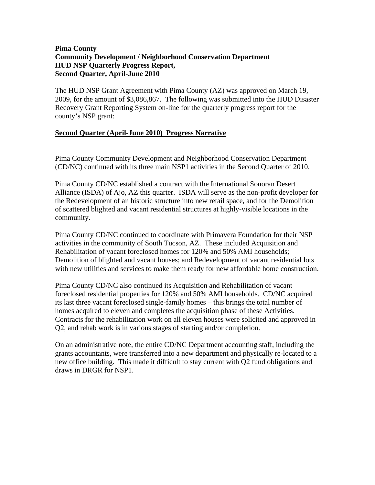# **Pima County Community Development / Neighborhood Conservation Department HUD NSP Quarterly Progress Report, Second Quarter, April-June 2010**

The HUD NSP Grant Agreement with Pima County (AZ) was approved on March 19, 2009, for the amount of \$3,086,867. The following was submitted into the HUD Disaster Recovery Grant Reporting System on-line for the quarterly progress report for the county's NSP grant:

## **Second Quarter (April-June 2010) Progress Narrative**

Pima County Community Development and Neighborhood Conservation Department (CD/NC) continued with its three main NSP1 activities in the Second Quarter of 2010.

Pima County CD/NC established a contract with the International Sonoran Desert Alliance (ISDA) of Ajo, AZ this quarter. ISDA will serve as the non-profit developer for the Redevelopment of an historic structure into new retail space, and for the Demolition of scattered blighted and vacant residential structures at highly-visible locations in the community.

Pima County CD/NC continued to coordinate with Primavera Foundation for their NSP activities in the community of South Tucson, AZ. These included Acquisition and Rehabilitation of vacant foreclosed homes for 120% and 50% AMI households; Demolition of blighted and vacant houses; and Redevelopment of vacant residential lots with new utilities and services to make them ready for new affordable home construction.

Pima County CD/NC also continued its Acquisition and Rehabilitation of vacant foreclosed residential properties for 120% and 50% AMI households. CD/NC acquired its last three vacant foreclosed single-family homes – this brings the total number of homes acquired to eleven and completes the acquisition phase of these Activities. Contracts for the rehabilitation work on all eleven houses were solicited and approved in Q2, and rehab work is in various stages of starting and/or completion.

On an administrative note, the entire CD/NC Department accounting staff, including the grants accountants, were transferred into a new department and physically re-located to a new office building. This made it difficult to stay current with Q2 fund obligations and draws in DRGR for NSP1.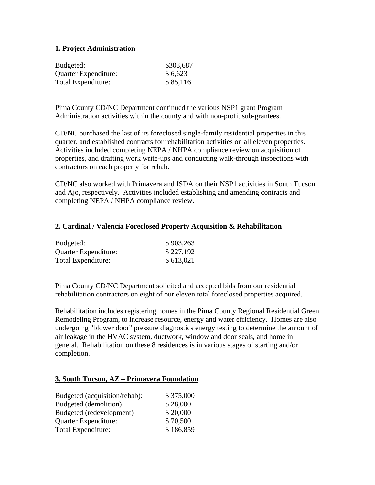# **1. Project Administration**

| Budgeted:            | \$308,687 |
|----------------------|-----------|
| Quarter Expenditure: | \$6,623   |
| Total Expenditure:   | \$85,116  |

Pima County CD/NC Department continued the various NSP1 grant Program Administration activities within the county and with non-profit sub-grantees.

CD/NC purchased the last of its foreclosed single-family residential properties in this quarter, and established contracts for rehabilitation activities on all eleven properties. Activities included completing NEPA / NHPA compliance review on acquisition of properties, and drafting work write-ups and conducting walk-through inspections with contractors on each property for rehab.

CD/NC also worked with Primavera and ISDA on their NSP1 activities in South Tucson and Ajo, respectively. Activities included establishing and amending contracts and completing NEPA / NHPA compliance review.

#### **2. Cardinal / Valencia Foreclosed Property Acquisition & Rehabilitation**

| Budgeted:                   | \$903,263 |
|-----------------------------|-----------|
| <b>Quarter Expenditure:</b> | \$227,192 |
| Total Expenditure:          | \$613,021 |

Pima County CD/NC Department solicited and accepted bids from our residential rehabilitation contractors on eight of our eleven total foreclosed properties acquired.

Rehabilitation includes registering homes in the Pima County Regional Residential Green Remodeling Program, to increase resource, energy and water efficiency. Homes are also undergoing "blower door" pressure diagnostics energy testing to determine the amount of air leakage in the HVAC system, ductwork, window and door seals, and home in general. Rehabilitation on these 8 residences is in various stages of starting and/or completion.

### **3. South Tucson, AZ – Primavera Foundation**

| Budgeted (acquisition/rehab): | \$375,000 |
|-------------------------------|-----------|
| Budgeted (demolition)         | \$28,000  |
| Budgeted (redevelopment)      | \$20,000  |
| Quarter Expenditure:          | \$70,500  |
| Total Expenditure:            | \$186,859 |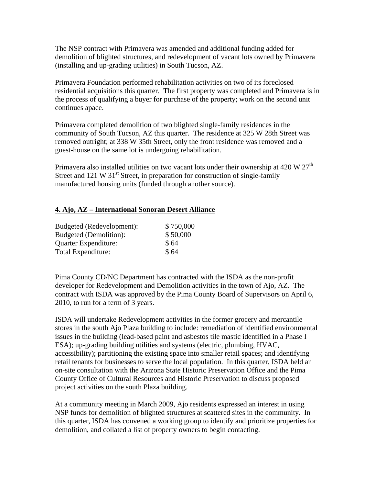The NSP contract with Primavera was amended and additional funding added for demolition of blighted structures, and redevelopment of vacant lots owned by Primavera (installing and up-grading utilities) in South Tucson, AZ.

Primavera Foundation performed rehabilitation activities on two of its foreclosed residential acquisitions this quarter. The first property was completed and Primavera is in the process of qualifying a buyer for purchase of the property; work on the second unit continues apace.

Primavera completed demolition of two blighted single-family residences in the community of South Tucson, AZ this quarter. The residence at 325 W 28th Street was removed outright; at 338 W 35th Street, only the front residence was removed and a guest-house on the same lot is undergoing rehabilitation.

Primavera also installed utilities on two vacant lots under their ownership at 420 W  $27<sup>th</sup>$ Street and 121 W  $31<sup>st</sup>$  Street, in preparation for construction of single-family manufactured housing units (funded through another source).

### **4. Ajo, AZ – International Sonoran Desert Alliance**

| Budgeted (Redevelopment): | \$750,000 |
|---------------------------|-----------|
| Budgeted (Demolition):    | \$50,000  |
| Quarter Expenditure:      | \$64      |
| Total Expenditure:        | \$64      |

Pima County CD/NC Department has contracted with the ISDA as the non-profit developer for Redevelopment and Demolition activities in the town of Ajo, AZ. The contract with ISDA was approved by the Pima County Board of Supervisors on April 6, 2010, to run for a term of 3 years.

ISDA will undertake Redevelopment activities in the former grocery and mercantile stores in the south Ajo Plaza building to include: remediation of identified environmental issues in the building (lead-based paint and asbestos tile mastic identified in a Phase I ESA); up-grading building utilities and systems (electric, plumbing, HVAC, accessibility); partitioning the existing space into smaller retail spaces; and identifying retail tenants for businesses to serve the local population. In this quarter, ISDA held an on-site consultation with the Arizona State Historic Preservation Office and the Pima County Office of Cultural Resources and Historic Preservation to discuss proposed project activities on the south Plaza building.

At a community meeting in March 2009, Ajo residents expressed an interest in using NSP funds for demolition of blighted structures at scattered sites in the community. In this quarter, ISDA has convened a working group to identify and prioritize properties for demolition, and collated a list of property owners to begin contacting.